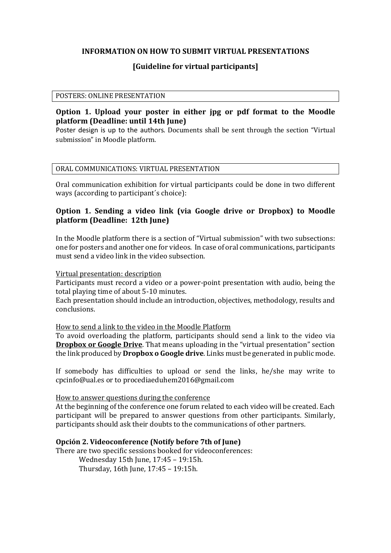### **INFORMATION ON HOW TO SUBMIT VIRTUAL PRESENTATIONS**

# **[Guideline for virtual participants]**

#### POSTERS: ONLINE PRESENTATION

## **Option 1. Upload your poster in either jpg or pdf format to the Moodle platform (Deadline: until 14th June)**

Poster design is up to the authors. Documents shall be sent through the section "Virtual submission" in Moodle platform.

### ORAL COMMUNICATIONS: VIRTUAL PRESENTATION

Oral communication exhibition for virtual participants could be done in two different ways (according to participant´s choice):

# **Option 1. Sending a video link (via Google drive or Dropbox) to Moodle platform (Deadline: 12th June)**

In the Moodle platform there is a section of "Virtual submission" with two subsections: one for posters and another one for videos. In case of oral communications, participants must send a video link in the video subsection.

#### Virtual presentation: description

Participants must record a video or a power-point presentation with audio, being the total playing time of about 5-10 minutes.

Each presentation should include an introduction, objectives, methodology, results and conclusions.

### How to send a link to the video in the Moodle Platform

To avoid overloading the platform, participants should send a link to the video via **Dropbox or Google Drive**. That means uploading in the "virtual presentation" section the link produced by **Dropbox o Google drive**. Links must be generated in public mode.

If somebody has difficulties to upload or send the links, he/she may write to cpcinfo@ual.es or to procediaeduhem2016@gmail.com

### How to answer questions during the conference

At the beginning of the conference one forum related to each video will be created. Each participant will be prepared to answer questions from other participants. Similarly, participants should ask their doubts to the communications of other partners.

### **Opción 2. Videoconference (Notify before 7th of June)**

There are two specific sessions booked for videoconferences:

Wednesday 15th June, 17:45 – 19:15h. Thursday, 16th June, 17:45 – 19:15h.